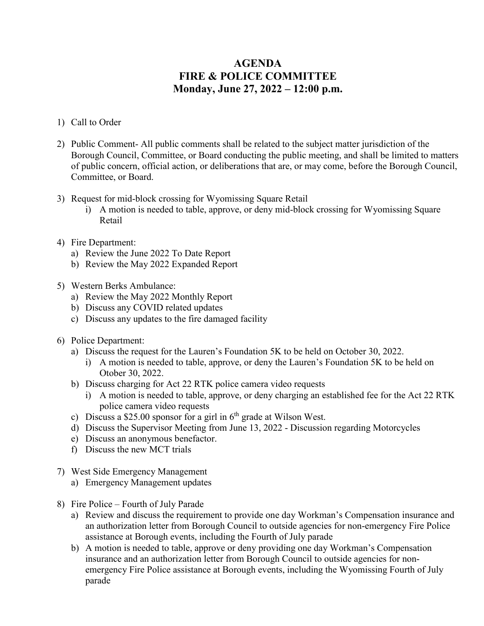## **AGENDA FIRE & POLICE COMMITTEE Monday, June 27, 2022 – 12:00 p.m.**

- 1) Call to Order
- 2) Public Comment- All public comments shall be related to the subject matter jurisdiction of the Borough Council, Committee, or Board conducting the public meeting, and shall be limited to matters of public concern, official action, or deliberations that are, or may come, before the Borough Council, Committee, or Board.
- 3) Request for mid-block crossing for Wyomissing Square Retail
	- i) A motion is needed to table, approve, or deny mid-block crossing for Wyomissing Square Retail
- 4) Fire Department:
	- a) Review the June 2022 To Date Report
	- b) Review the May 2022 Expanded Report
- 5) Western Berks Ambulance:
	- a) Review the May 2022 Monthly Report
	- b) Discuss any COVID related updates
	- c) Discuss any updates to the fire damaged facility
- 6) Police Department:
	- a) Discuss the request for the Lauren's Foundation 5K to be held on October 30, 2022.
		- i) A motion is needed to table, approve, or deny the Lauren's Foundation 5K to be held on Otober 30, 2022.
	- b) Discuss charging for Act 22 RTK police camera video requests
		- i) A motion is needed to table, approve, or deny charging an established fee for the Act 22 RTK police camera video requests
	- c) Discuss a \$25.00 sponsor for a girl in  $6<sup>th</sup>$  grade at Wilson West.
	- d) Discuss the Supervisor Meeting from June 13, 2022 Discussion regarding Motorcycles
	- e) Discuss an anonymous benefactor.
	- f) Discuss the new MCT trials
- 7) West Side Emergency Management
	- a) Emergency Management updates
- 8) Fire Police Fourth of July Parade
	- a) Review and discuss the requirement to provide one day Workman's Compensation insurance and an authorization letter from Borough Council to outside agencies for non-emergency Fire Police assistance at Borough events, including the Fourth of July parade
	- b) A motion is needed to table, approve or deny providing one day Workman's Compensation insurance and an authorization letter from Borough Council to outside agencies for nonemergency Fire Police assistance at Borough events, including the Wyomissing Fourth of July parade